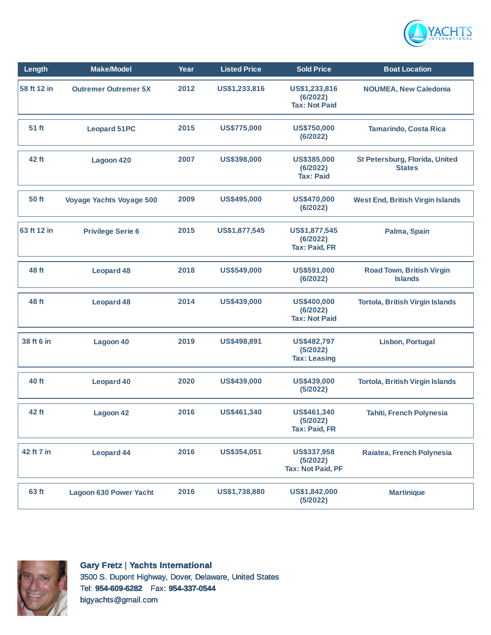

| Length       | <b>Make/Model</b>               | Year | <b>Listed Price</b> | <b>Sold Price</b>                                      | <b>Boat Location</b>                                   |
|--------------|---------------------------------|------|---------------------|--------------------------------------------------------|--------------------------------------------------------|
| 58 ft 12 in  | <b>Outremer Outremer 5X</b>     | 2012 | US\$1,233,816       | US\$1,233,816<br>(6/2022)<br><b>Tax: Not Paid</b>      | <b>NOUMEA, New Caledonia</b>                           |
| 51 ft        | <b>Leopard 51PC</b>             | 2015 | <b>US\$775,000</b>  | US\$750,000<br>(6/2022)                                | <b>Tamarindo, Costa Rica</b>                           |
| 42 ft        | Lagoon 420                      | 2007 | US\$398,000         | US\$385,000<br>(6/2022)<br><b>Tax: Paid</b>            | <b>St Petersburg, Florida, United</b><br><b>States</b> |
| <b>50 ft</b> | <b>Voyage Yachts Voyage 500</b> | 2009 | US\$495,000         | <b>US\$470,000</b><br>(6/2022)                         | <b>West End, British Virgin Islands</b>                |
| 63 ft 12 in  | <b>Privilege Serie 6</b>        | 2015 | US\$1,877,545       | US\$1,877,545<br>(6/2022)<br><b>Tax: Paid, FR</b>      | Palma, Spain                                           |
| 48 ft        | <b>Leopard 48</b>               | 2018 | US\$549,000         | US\$591,000<br>(6/2022)                                | <b>Road Town, British Virgin</b><br><b>Islands</b>     |
| 48 ft        | <b>Leopard 48</b>               | 2014 | US\$439,000         | <b>US\$400,000</b><br>(6/2022)<br><b>Tax: Not Paid</b> | <b>Tortola, British Virgin Islands</b>                 |
| 38 ft 6 in   | Lagoon 40                       | 2019 | US\$498,891         | <b>US\$482,797</b><br>(5/2022)<br><b>Tax: Leasing</b>  | <b>Lisbon, Portugal</b>                                |
| 40 ft        | <b>Leopard 40</b>               | 2020 | US\$439,000         | US\$439,000<br>(5/2022)                                | <b>Tortola, British Virgin Islands</b>                 |
| 42 ft        | Lagoon 42                       | 2016 | US\$461,340         | US\$461,340<br>(5/2022)<br><b>Tax: Paid, FR</b>        | <b>Tahiti, French Polynesia</b>                        |
| 42 ft 7 in   | <b>Leopard 44</b>               | 2016 | US\$354,051         | US\$337,958<br>(5/2022)<br><b>Tax: Not Paid, PF</b>    | Raiatea, French Polynesia                              |
| 63 ft        | <b>Lagoon 630 Power Yacht</b>   | 2016 | US\$1,738,880       | US\$1,842,000<br>(5/2022)                              | <b>Martinique</b>                                      |



**Gary Fretz** | **Yachts International** 3500 S. Dupont Highway, Dover, Delaware, United States Tel: **954-609-6282** Fax: **954-337-0544** bigyachts@gmail.com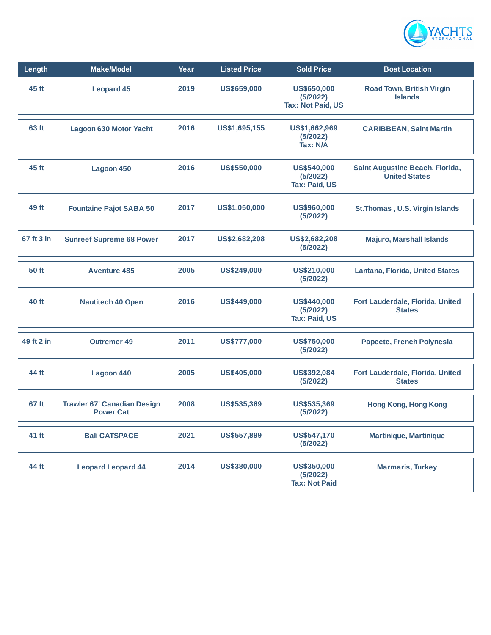

| Length       | <b>Make/Model</b>                                      | Year | <b>Listed Price</b> | <b>Sold Price</b>                                   | <b>Boat Location</b>                                    |
|--------------|--------------------------------------------------------|------|---------------------|-----------------------------------------------------|---------------------------------------------------------|
| 45 ft        | <b>Leopard 45</b>                                      | 2019 | <b>US\$659,000</b>  | US\$650,000<br>(5/2022)<br><b>Tax: Not Paid, US</b> | <b>Road Town, British Virgin</b><br><b>Islands</b>      |
| 63 ft        | <b>Lagoon 630 Motor Yacht</b>                          | 2016 | US\$1,695,155       | US\$1,662,969<br>(5/2022)<br>Tax: N/A               | <b>CARIBBEAN, Saint Martin</b>                          |
| 45 ft        | Lagoon 450                                             | 2016 | US\$550,000         | US\$540,000<br>(5/2022)<br><b>Tax: Paid, US</b>     | Saint Augustine Beach, Florida,<br><b>United States</b> |
| 49 ft        | <b>Fountaine Pajot SABA 50</b>                         | 2017 | US\$1,050,000       | US\$960,000<br>(5/2022)                             | St. Thomas, U.S. Virgin Islands                         |
| 67 ft 3 in   | <b>Sunreef Supreme 68 Power</b>                        | 2017 | US\$2,682,208       | US\$2,682,208<br>(5/2022)                           | <b>Majuro, Marshall Islands</b>                         |
| <b>50 ft</b> | <b>Aventure 485</b>                                    | 2005 | US\$249,000         | US\$210,000<br>(5/2022)                             | <b>Lantana, Florida, United States</b>                  |
| 40 ft        | <b>Nautitech 40 Open</b>                               | 2016 | US\$449,000         | US\$440,000<br>(5/2022)<br><b>Tax: Paid, US</b>     | Fort Lauderdale, Florida, United<br><b>States</b>       |
| 49 ft 2 in   | <b>Outremer 49</b>                                     | 2011 | US\$777,000         | <b>US\$750,000</b><br>(5/2022)                      | Papeete, French Polynesia                               |
| 44 ft        | Lagoon 440                                             | 2005 | <b>US\$405,000</b>  | US\$392,084<br>(5/2022)                             | Fort Lauderdale, Florida, United<br><b>States</b>       |
| 67 ft        | <b>Trawler 67' Canadian Design</b><br><b>Power Cat</b> | 2008 | US\$535,369         | US\$535,369<br>(5/2022)                             | <b>Hong Kong, Hong Kong</b>                             |
| 41 ft        | <b>Bali CATSPACE</b>                                   | 2021 | <b>US\$557,899</b>  | US\$547,170<br>(5/2022)                             | <b>Martinique, Martinique</b>                           |
| 44 ft        | <b>Leopard Leopard 44</b>                              | 2014 | US\$380,000         | US\$350,000<br>(5/2022)<br><b>Tax: Not Paid</b>     | <b>Marmaris, Turkey</b>                                 |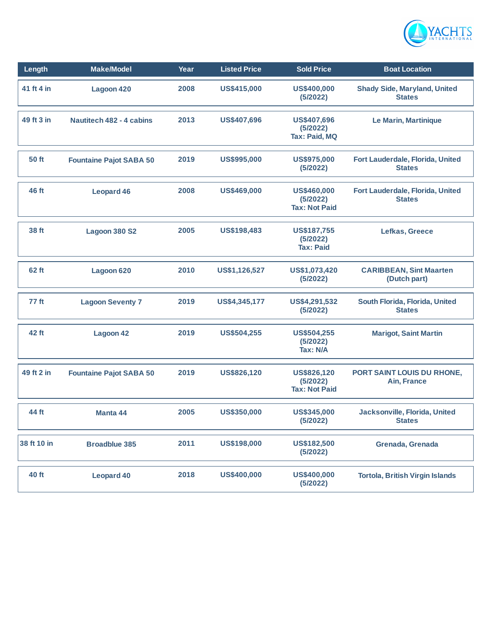

| Length           | <b>Make/Model</b>               | Year | <b>Listed Price</b> | <b>Sold Price</b>                                  | <b>Boat Location</b>                                 |
|------------------|---------------------------------|------|---------------------|----------------------------------------------------|------------------------------------------------------|
| 41 ft 4 in       | Lagoon 420                      | 2008 | US\$415,000         | <b>US\$400,000</b><br>(5/2022)                     | <b>Shady Side, Maryland, United</b><br><b>States</b> |
| 49 ft 3 in       | <b>Nautitech 482 - 4 cabins</b> | 2013 | <b>US\$407,696</b>  | <b>US\$407,696</b><br>(5/2022)<br>Tax: Paid, MQ    | Le Marin, Martinique                                 |
| 50 ft            | <b>Fountaine Pajot SABA 50</b>  | 2019 | US\$995,000         | <b>US\$975,000</b><br>(5/2022)                     | Fort Lauderdale, Florida, United<br><b>States</b>    |
| 46 ft            | <b>Leopard 46</b>               | 2008 | US\$469,000         | US\$460,000<br>(5/2022)<br><b>Tax: Not Paid</b>    | Fort Lauderdale, Florida, United<br><b>States</b>    |
| 38 ft            | <b>Lagoon 380 S2</b>            | 2005 | US\$198,483         | <b>US\$187,755</b><br>(5/2022)<br><b>Tax: Paid</b> | Lefkas, Greece                                       |
| 62 ft            | Lagoon 620                      | 2010 | US\$1,126,527       | US\$1,073,420<br>(5/2022)                          | <b>CARIBBEAN, Sint Maarten</b><br>(Dutch part)       |
| 77 <sub>ft</sub> | <b>Lagoon Seventy 7</b>         | 2019 | US\$4,345,177       | US\$4,291,532<br>(5/2022)                          | South Florida, Florida, United<br><b>States</b>      |
| 42 ft            | <b>Lagoon 42</b>                | 2019 | <b>US\$504,255</b>  | <b>US\$504,255</b><br>(5/2022)<br><b>Tax: N/A</b>  | <b>Marigot, Saint Martin</b>                         |
| 49 ft 2 in       | <b>Fountaine Pajot SABA 50</b>  | 2019 | US\$826,120         | US\$826,120<br>(5/2022)<br><b>Tax: Not Paid</b>    | PORT SAINT LOUIS DU RHONE,<br>Ain, France            |
| 44 ft            | Manta 44                        | 2005 | US\$350,000         | US\$345,000<br>(5/2022)                            | Jacksonville, Florida, United<br><b>States</b>       |
| 38 ft 10 in      | <b>Broadblue 385</b>            | 2011 | US\$198,000         | <b>US\$182,500</b><br>(5/2022)                     | Grenada, Grenada                                     |
| 40 ft            | <b>Leopard 40</b>               | 2018 | US\$400,000         | <b>US\$400,000</b><br>(5/2022)                     | <b>Tortola, British Virgin Islands</b>               |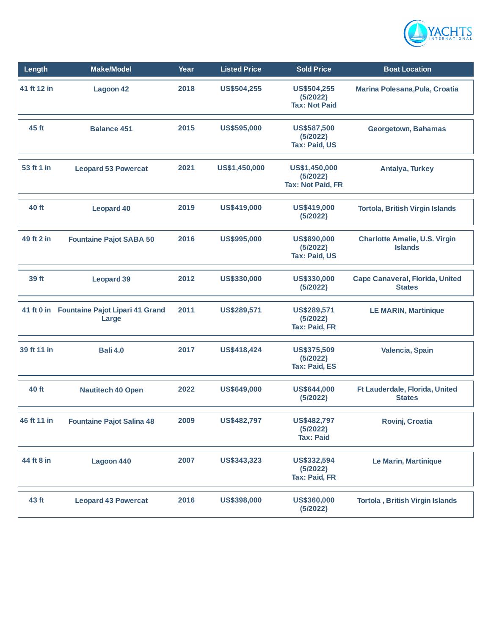

| Length      | <b>Make/Model</b>                                   | Year | <b>Listed Price</b> | <b>Sold Price</b>                                      | <b>Boat Location</b>                                   |
|-------------|-----------------------------------------------------|------|---------------------|--------------------------------------------------------|--------------------------------------------------------|
| 41 ft 12 in | Lagoon 42                                           | 2018 | <b>US\$504,255</b>  | <b>US\$504,255</b><br>(5/2022)<br><b>Tax: Not Paid</b> | Marina Polesana, Pula, Croatia                         |
| 45 ft       | <b>Balance 451</b>                                  | 2015 | US\$595,000         | <b>US\$587,500</b><br>(5/2022)<br><b>Tax: Paid, US</b> | Georgetown, Bahamas                                    |
| 53 ft 1 in  | <b>Leopard 53 Powercat</b>                          | 2021 | US\$1,450,000       | US\$1,450,000<br>(5/2022)<br><b>Tax: Not Paid, FR</b>  | Antalya, Turkey                                        |
| 40 ft       | <b>Leopard 40</b>                                   | 2019 | US\$419,000         | US\$419,000<br>(5/2022)                                | <b>Tortola, British Virgin Islands</b>                 |
| 49 ft 2 in  | <b>Fountaine Pajot SABA 50</b>                      | 2016 | US\$995,000         | US\$890,000<br>(5/2022)<br>Tax: Paid, US               | <b>Charlotte Amalie, U.S. Virgin</b><br><b>Islands</b> |
| 39 ft       | <b>Leopard 39</b>                                   | 2012 | US\$330,000         | US\$330,000<br>(5/2022)                                | Cape Canaveral, Florida, United<br><b>States</b>       |
|             | 41 ft 0 in Fountaine Pajot Lipari 41 Grand<br>Large | 2011 | US\$289,571         | US\$289,571<br>(5/2022)<br><b>Tax: Paid, FR</b>        | <b>LE MARIN, Martinique</b>                            |
| 39 ft 11 in | <b>Bali 4.0</b>                                     | 2017 | US\$418,424         | US\$375,509<br>(5/2022)<br><b>Tax: Paid, ES</b>        | Valencia, Spain                                        |
| 40 ft       | <b>Nautitech 40 Open</b>                            | 2022 | US\$649,000         | US\$644,000<br>(5/2022)                                | Ft Lauderdale, Florida, United<br><b>States</b>        |
| 46 ft 11 in | <b>Fountaine Pajot Salina 48</b>                    | 2009 | <b>US\$482,797</b>  | US\$482,797<br>(5/2022)<br><b>Tax: Paid</b>            | Rovinj, Croatia                                        |
| 44 ft 8 in  | Lagoon 440                                          | 2007 | US\$343,323         | US\$332,594<br>(5/2022)<br><b>Tax: Paid, FR</b>        | Le Marin, Martinique                                   |
| 43 ft       | <b>Leopard 43 Powercat</b>                          | 2016 | US\$398,000         | US\$360,000<br>(5/2022)                                | <b>Tortola, British Virgin Islands</b>                 |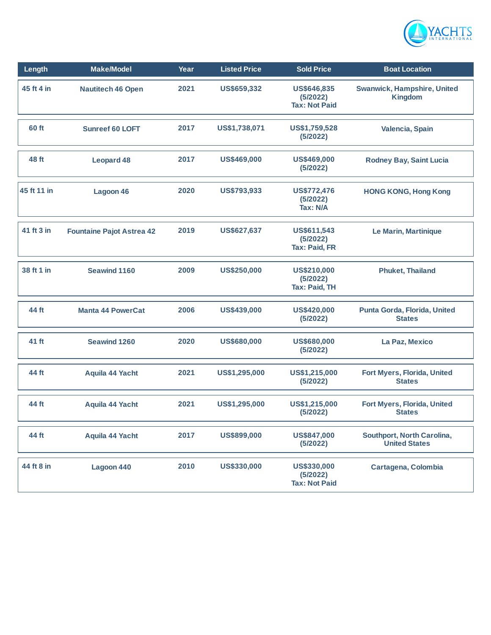

| Length      | <b>Make/Model</b>                | Year | <b>Listed Price</b> | <b>Sold Price</b>                               | <b>Boat Location</b>                                 |
|-------------|----------------------------------|------|---------------------|-------------------------------------------------|------------------------------------------------------|
| 45 ft 4 in  | <b>Nautitech 46 Open</b>         | 2021 | US\$659,332         | US\$646,835<br>(5/2022)<br><b>Tax: Not Paid</b> | <b>Swanwick, Hampshire, United</b><br><b>Kingdom</b> |
| 60 ft       | <b>Sunreef 60 LOFT</b>           | 2017 | US\$1,738,071       | US\$1,759,528<br>(5/2022)                       | Valencia, Spain                                      |
| 48 ft       | <b>Leopard 48</b>                | 2017 | US\$469,000         | US\$469,000<br>(5/2022)                         | <b>Rodney Bay, Saint Lucia</b>                       |
| 45 ft 11 in | Lagoon 46                        | 2020 | US\$793,933         | <b>US\$772,476</b><br>(5/2022)<br>Tax: N/A      | <b>HONG KONG, Hong Kong</b>                          |
| 41 ft 3 in  | <b>Fountaine Pajot Astrea 42</b> | 2019 | US\$627,637         | US\$611,543<br>(5/2022)<br><b>Tax: Paid, FR</b> | Le Marin, Martinique                                 |
| 38 ft 1 in  | <b>Seawind 1160</b>              | 2009 | US\$250,000         | US\$210,000<br>(5/2022)<br><b>Tax: Paid, TH</b> | <b>Phuket, Thailand</b>                              |
| 44 ft       | <b>Manta 44 PowerCat</b>         | 2006 | US\$439,000         | US\$420,000<br>(5/2022)                         | Punta Gorda, Florida, United<br><b>States</b>        |
| 41 ft       | <b>Seawind 1260</b>              | 2020 | US\$680,000         | US\$680,000<br>(5/2022)                         | La Paz, Mexico                                       |
| 44 ft       | Aquila 44 Yacht                  | 2021 | US\$1,295,000       | US\$1,215,000<br>(5/2022)                       | Fort Myers, Florida, United<br><b>States</b>         |
| 44 ft       | Aquila 44 Yacht                  | 2021 | US\$1,295,000       | US\$1,215,000<br>(5/2022)                       | Fort Myers, Florida, United<br><b>States</b>         |
| 44 ft       | Aquila 44 Yacht                  | 2017 | US\$899,000         | US\$847,000<br>(5/2022)                         | Southport, North Carolina,<br><b>United States</b>   |
| 44 ft 8 in  | Lagoon 440                       | 2010 | US\$330,000         | US\$330,000<br>(5/2022)<br><b>Tax: Not Paid</b> | Cartagena, Colombia                                  |